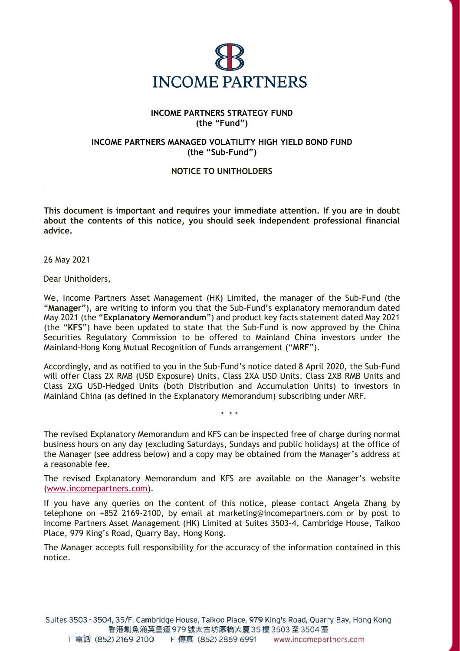

## **INCOME PARTNERS STRATEGY FUND (the "Fund")**

## **INCOME PARTNERS MANAGED VOLATILITY HIGH YIELD BOND FUND (the "Sub-Fund")**

## **NOTICE TO UNITHOLDERS**

**This document is important and requires your immediate attention. If you are in doubt about the contents of this notice, you should seek independent professional financial advice.**

26 May 2021

Dear Unitholders,

We, Income Partners Asset Management (HK) Limited, the manager of the Sub-Fund (the "**Manager**"), are writing to inform you that the Sub-Fund's explanatory memorandum dated May 2021 (the "**Explanatory Memorandum**") and product key facts statement dated May 2021 (the "**KFS**") have been updated to state that the Sub-Fund is now approved by the China Securities Regulatory Commission to be offered to Mainland China investors under the Mainland-Hong Kong Mutual Recognition of Funds arrangement ("**MRF**").

Accordingly, and as notified to you in the Sub-Fund's notice dated 8 April 2020, the Sub-Fund will offer Class 2X RMB (USD Exposure) Units, Class 2XA USD Units, Class 2XB RMB Units and Class 2XG USD-Hedged Units (both Distribution and Accumulation Units) to investors in Mainland China (as defined in the Explanatory Memorandum) subscribing under MRF.

*\* \* \**

The revised Explanatory Memorandum and KFS can be inspected free of charge during normal business hours on any day (excluding Saturdays, Sundays and public holidays) at the office of the Manager (see address below) and a copy may be obtained from the Manager's address at a reasonable fee.

The revised Explanatory Memorandum and KFS are available on the Manager's website [\(www.incomepartners.com\)](http://www.incomepartners.com/).

If you have any queries on the content of this notice, please contact Angela Zhang by telephone on +852 2169-2100, by email at marketing@incomepartners.com or by post to Income Partners Asset Management (HK) Limited at Suites 3503-4, Cambridge House, Taikoo Place, 979 King's Road, Quarry Bay, Hong Kong.

The Manager accepts full responsibility for the accuracy of the information contained in this notice.

Suites 3503 - 3504, 35/F, Cambridge House, Taikoo Place, 979 King's Road, Quarry Bay, Hong Kong 香港鰂魚涌英皇道 979 號太古坊康橋大廈 35 樓 3503 至 3504 室 T 電話 (852) 2169 2100 F 傳真 (852) 2869 6991 www.incomepartners.com